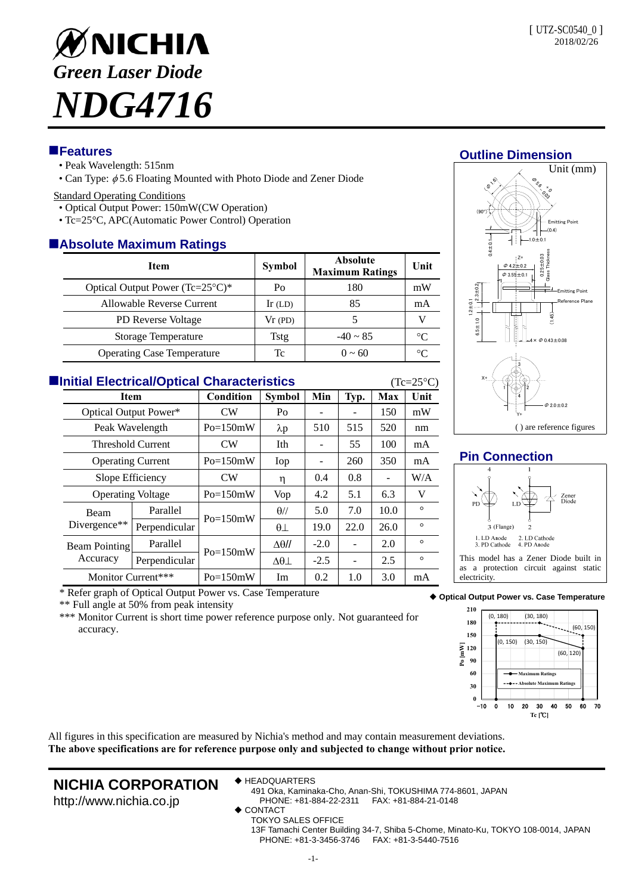

### **Features**

- Peak Wavelength: 515nm
- Can Type:  $\phi$  5.6 Floating Mounted with Photo Diode and Zener Diode

#### Standard Operating Conditions

- Optical Output Power: 150mW(CW Operation)
- Tc=25°C, APC(Automatic Power Control) Operation

## **Absolute Maximum Ratings**

| <b>Item</b>                                 | <b>Symbol</b> | <b>Absolute</b><br><b>Maximum Ratings</b> | Unit            |  |  |  |  |  |  |
|---------------------------------------------|---------------|-------------------------------------------|-----------------|--|--|--|--|--|--|
| Optical Output Power $(Tc=25^{\circ}C)^{*}$ | Po            | 180                                       | mW              |  |  |  |  |  |  |
| Allowable Reverse Current                   | Ir $(LD)$     | 85                                        | mA              |  |  |  |  |  |  |
| <b>PD</b> Reverse Voltage                   | Vr(PD)        |                                           |                 |  |  |  |  |  |  |
| Storage Temperature                         | Tstg          | $-40 \sim 85$                             | $\rm ^{\circ}C$ |  |  |  |  |  |  |
| <b>Operating Case Temperature</b>           | Tc            | $0 \sim 60$                               |                 |  |  |  |  |  |  |

| <b>Elnitial Electrical/Optical Characteristics</b><br>$(Tc=25\textdegree C)$ |                                  |               |                |                   |        |      |      |         |  |  |
|------------------------------------------------------------------------------|----------------------------------|---------------|----------------|-------------------|--------|------|------|---------|--|--|
| <b>Item</b>                                                                  |                                  | Condition     | <b>Symbol</b>  | Min               | Typ.   | Max  | Unit |         |  |  |
|                                                                              | Optical Output Power*            |               | <b>CW</b>      | Po                |        |      | 150  | mW      |  |  |
|                                                                              | Peak Wavelength                  |               | $Po=150mW$     | $\lambda p$       | 510    | 515  | 520  | nm      |  |  |
|                                                                              | Threshold Current                |               | CW <sub></sub> | Ith               |        | 55   | 100  | mA      |  |  |
|                                                                              | <b>Operating Current</b>         |               | $Po=150mW$     | Iop               |        | 260  | 350  | mA      |  |  |
|                                                                              | Slope Efficiency                 |               | CW             | η                 | 0.4    | 0.8  |      | W/A     |  |  |
|                                                                              | <b>Operating Voltage</b>         |               | $Po=150mW$     | Vop               | 4.2    | 5.1  | 6.3  | V       |  |  |
|                                                                              | Beam<br>Divergence $**$          | Parallel      | $Po=150mW$     | $\theta$ //       | 5.0    | 7.0  | 10.0 | $\circ$ |  |  |
|                                                                              |                                  | Perpendicular |                | $\theta\perp$     | 19.0   | 22.0 | 26.0 | $\circ$ |  |  |
|                                                                              | <b>Beam Pointing</b><br>Accuracy | Parallel      | $Po=150mW$     | $\Delta\theta$ // | $-2.0$ |      | 2.0  | $\circ$ |  |  |
|                                                                              |                                  | Perpendicular |                | $\Delta\theta$    | $-2.5$ |      | 2.5  | $\circ$ |  |  |
|                                                                              | Monitor Current***               |               | $Po=150mW$     | Im                | 0.2    | 1.0  | 3.0  | mA      |  |  |

**Outline Dimension**



### **Pin Connection**



This model has a Zener Diode built in as a protection circuit against static electricity

\* Refer graph of Optical Output Power vs. Case Temperature

\*\* Full angle at 50% from peak intensity

\*\*\* Monitor Current is short time power reference purpose only. Not guaranteed for accuracy.



All figures in this specification are measured by Nichia's method and may contain measurement deviations. **The above specifications are for reference purpose only and subjected to change without prior notice.**

## **NICHIA CORPORATION** http://www.nichia.co.jp

◆ HEADQUARTERS

491 Oka, Kaminaka-Cho, Anan-Shi, TOKUSHIMA 774-8601, JAPAN PHONE: +81-884-22-2311 FAX: +81-884-21-0148

- CONTACT
	- TOKYO SALES OFFICE

13F Tamachi Center Building 34-7, Shiba 5-Chome, Minato-Ku, TOKYO 108-0014, JAPAN PHONE: +81-3-3456-3746 FAX: +81-3-5440-7516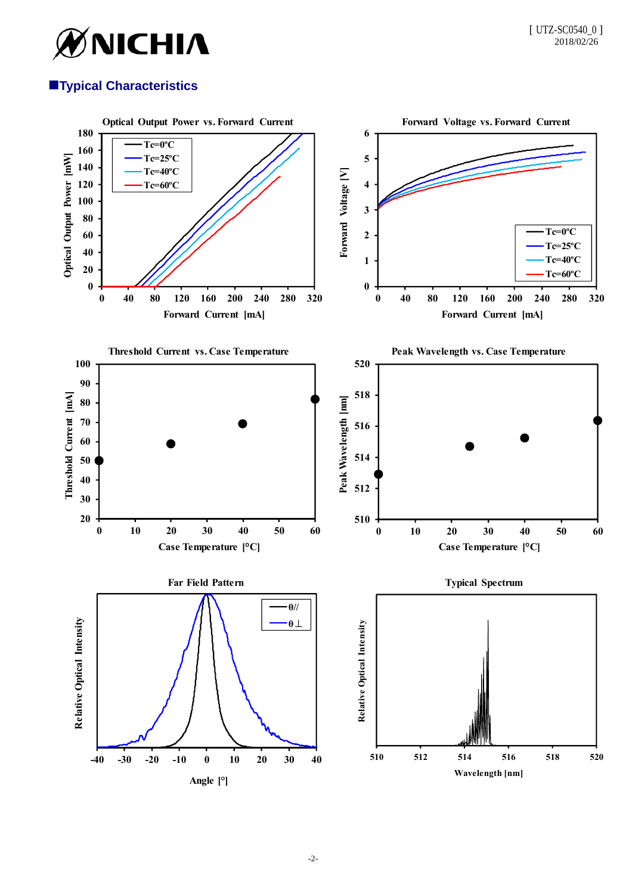

# **Typical Characteristics**